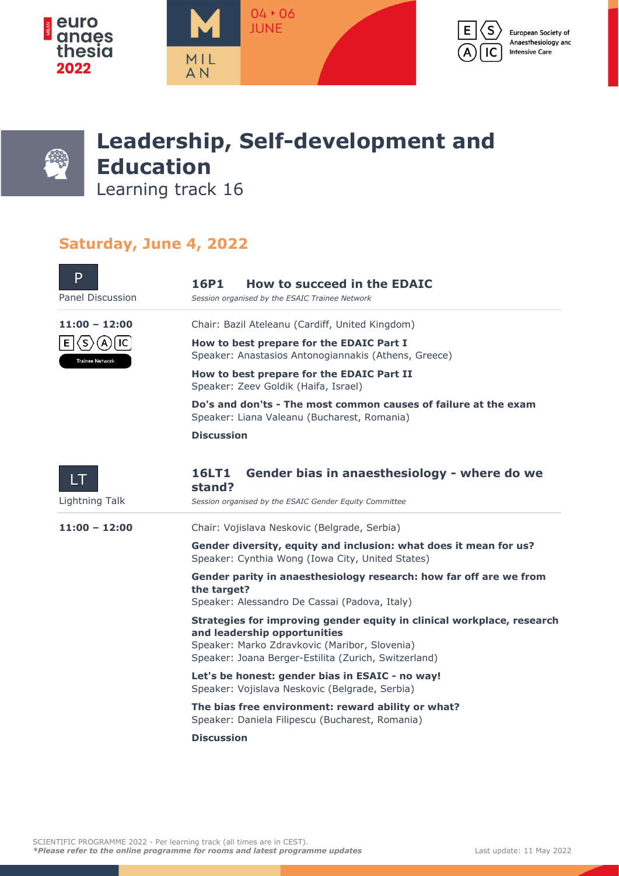



## **Leadership, Self-development and Education**

Learning track 16

## **Saturday, June 4, 2022**

| P<br>Panel Discussion                                        | <b>16P1</b><br><b>How to succeed in the EDAIC</b><br>Session organised by the ESAIC Trainee Network                                                                                                             |
|--------------------------------------------------------------|-----------------------------------------------------------------------------------------------------------------------------------------------------------------------------------------------------------------|
| $11:00 - 12:00$                                              | Chair: Bazil Ateleanu (Cardiff, United Kingdom)                                                                                                                                                                 |
| l IC.<br>E.<br>〈S)<br>$\mathsf{A}$<br><b>Trainee Network</b> | How to best prepare for the EDAIC Part I<br>Speaker: Anastasios Antonogiannakis (Athens, Greece)                                                                                                                |
|                                                              | How to best prepare for the EDAIC Part II<br>Speaker: Zeev Goldik (Haifa, Israel)                                                                                                                               |
|                                                              | Do's and don'ts - The most common causes of failure at the exam<br>Speaker: Liana Valeanu (Bucharest, Romania)                                                                                                  |
|                                                              | <b>Discussion</b>                                                                                                                                                                                               |
| LT                                                           | <b>16LT1</b><br>Gender bias in anaesthesiology - where do we<br>stand?                                                                                                                                          |
| Lightning Talk                                               | Session organised by the ESAIC Gender Equity Committee                                                                                                                                                          |
| $11:00 - 12:00$                                              | Chair: Vojislava Neskovic (Belgrade, Serbia)                                                                                                                                                                    |
|                                                              | Gender diversity, equity and inclusion: what does it mean for us?<br>Speaker: Cynthia Wong (Iowa City, United States)                                                                                           |
|                                                              | Gender parity in anaesthesiology research: how far off are we from<br>the target?<br>Speaker: Alessandro De Cassai (Padova, Italy)                                                                              |
|                                                              | Strategies for improving gender equity in clinical workplace, research<br>and leadership opportunities<br>Speaker: Marko Zdravkovic (Maribor, Slovenia)<br>Speaker: Joana Berger-Estilita (Zurich, Switzerland) |
|                                                              | Let's be honest: gender bias in ESAIC - no way!<br>Speaker: Vojislava Neskovic (Belgrade, Serbia)                                                                                                               |
|                                                              | The bias free environment: reward ability or what?<br>Speaker: Daniela Filipescu (Bucharest, Romania)                                                                                                           |
|                                                              | <b>Discussion</b>                                                                                                                                                                                               |
|                                                              |                                                                                                                                                                                                                 |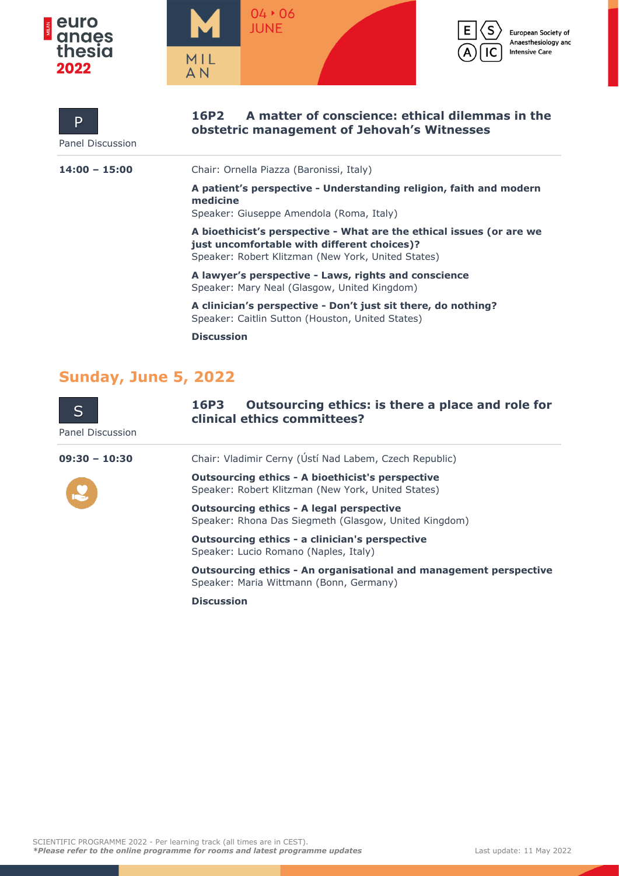

**P** 



**16P2 A matter of conscience: ethical dilemmas in the** 



European Society of Anaesthesiology and **Intensive Care** 

| Panel Discussion | obstetric management of Jehovah's Witnesses                                                                                                                               |
|------------------|---------------------------------------------------------------------------------------------------------------------------------------------------------------------------|
| $14:00 - 15:00$  | Chair: Ornella Piazza (Baronissi, Italy)                                                                                                                                  |
|                  | A patient's perspective - Understanding religion, faith and modern<br>medicine<br>Speaker: Giuseppe Amendola (Roma, Italy)                                                |
|                  | A bioethicist's perspective - What are the ethical issues (or are we<br>just uncomfortable with different choices)?<br>Speaker: Robert Klitzman (New York, United States) |
|                  | A lawyer's perspective - Laws, rights and conscience<br>Speaker: Mary Neal (Glasgow, United Kingdom)                                                                      |
|                  | A clinician's perspective - Don't just sit there, do nothing?<br>Speaker: Caitlin Sutton (Houston, United States)                                                         |
|                  |                                                                                                                                                                           |

**Discussion**

## **Sunday, June 5, 2022**

| S<br>Panel Discussion | Outsourcing ethics: is there a place and role for<br><b>16P3</b><br>clinical ethics committees?               |
|-----------------------|---------------------------------------------------------------------------------------------------------------|
| $09:30 - 10:30$       | Chair: Vladimir Cerny (Ústí Nad Labem, Czech Republic)                                                        |
|                       | <b>Outsourcing ethics - A bioethicist's perspective</b><br>Speaker: Robert Klitzman (New York, United States) |
|                       | <b>Outsourcing ethics - A legal perspective</b><br>Speaker: Rhona Das Siegmeth (Glasgow, United Kingdom)      |
|                       | <b>Outsourcing ethics - a clinician's perspective</b><br>Speaker: Lucio Romano (Naples, Italy)                |

**Outsourcing ethics - An organisational and management perspective** Speaker: Maria Wittmann (Bonn, Germany)

**Discussion**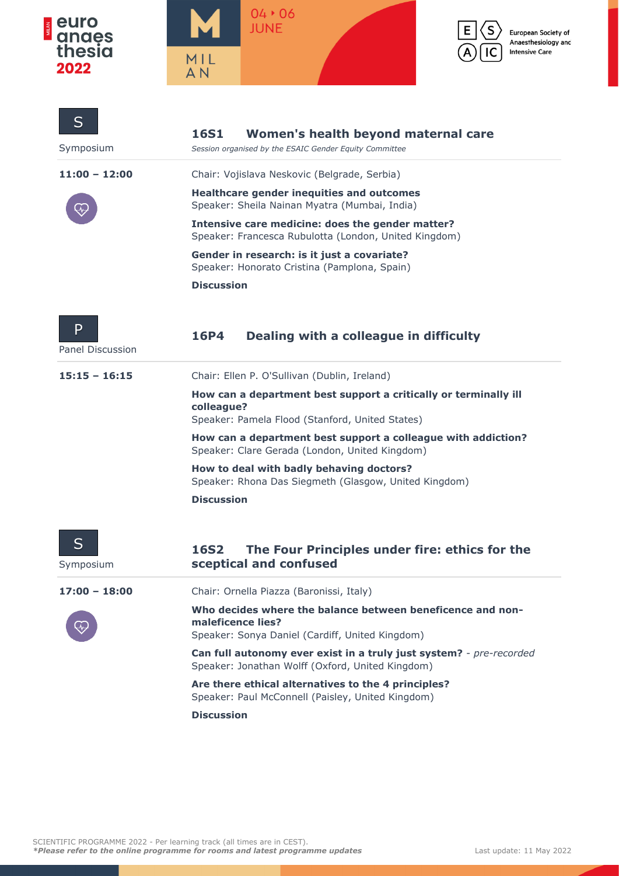





 $\mathsf{s}$ 

IC

European Society of Anaesthesiology and **Intensive Care** 

| S<br>Symposium        | <b>16S1</b><br>Women's health beyond maternal care<br>Session organised by the ESAIC Gender Equity Committee                       |
|-----------------------|------------------------------------------------------------------------------------------------------------------------------------|
| $11:00 - 12:00$       | Chair: Vojislava Neskovic (Belgrade, Serbia)                                                                                       |
|                       | <b>Healthcare gender inequities and outcomes</b><br>Speaker: Sheila Nainan Myatra (Mumbai, India)                                  |
|                       | Intensive care medicine: does the gender matter?<br>Speaker: Francesca Rubulotta (London, United Kingdom)                          |
|                       | Gender in research: is it just a covariate?<br>Speaker: Honorato Cristina (Pamplona, Spain)                                        |
|                       | <b>Discussion</b>                                                                                                                  |
| P<br>Panel Discussion | Dealing with a colleague in difficulty<br>16P4                                                                                     |
| $15:15 - 16:15$       | Chair: Ellen P. O'Sullivan (Dublin, Ireland)                                                                                       |
|                       | How can a department best support a critically or terminally ill<br>colleague?<br>Speaker: Pamela Flood (Stanford, United States)  |
|                       | How can a department best support a colleague with addiction?<br>Speaker: Clare Gerada (London, United Kingdom)                    |
|                       | How to deal with badly behaving doctors?<br>Speaker: Rhona Das Siegmeth (Glasgow, United Kingdom)                                  |
|                       | <b>Discussion</b>                                                                                                                  |
| S<br>Symposium        | The Four Principles under fire: ethics for the<br><b>16S2</b><br>sceptical and confused                                            |
| 17:00 - 18:00         | Chair: Ornella Piazza (Baronissi, Italy)                                                                                           |
|                       | Who decides where the balance between beneficence and non-<br>maleficence lies?<br>Speaker: Sonya Daniel (Cardiff, United Kingdom) |
|                       | Can full autonomy ever exist in a truly just system? - pre-recorded<br>Speaker: Jonathan Wolff (Oxford, United Kingdom)            |
|                       | Are there ethical alternatives to the 4 principles?<br>Speaker: Paul McConnell (Paisley, United Kingdom)                           |
|                       | <b>Discussion</b>                                                                                                                  |